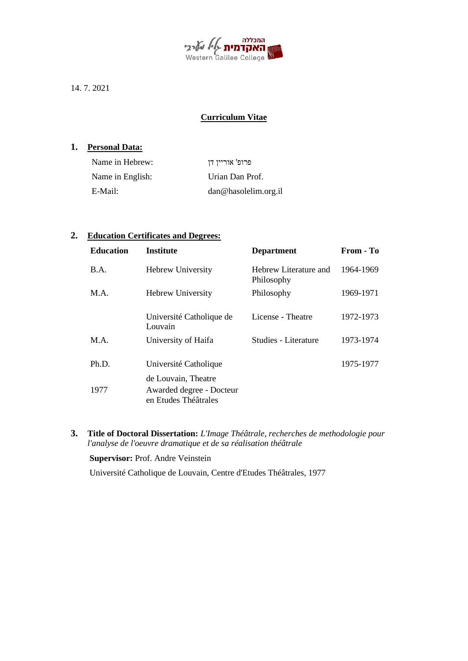

14. 7. 2021

# **Curriculum Vitae**

## **1. Personal Data:**

| Name in Hebrew:  | פרופ' אוריין דן      |
|------------------|----------------------|
| Name in English: | Urian Dan Prof.      |
| E-Mail:          | dan@hasolelim.org.il |

# **2. Education Certificates and Degrees:**

| <b>Education</b> | <b>Institute</b>                                 | <b>Department</b>                   | From - To |
|------------------|--------------------------------------------------|-------------------------------------|-----------|
| B.A.             | <b>Hebrew University</b>                         | Hebrew Literature and<br>Philosophy | 1964-1969 |
| M.A.             | <b>Hebrew University</b>                         | Philosophy                          | 1969-1971 |
|                  | Université Catholique de<br>Louvain              | License - Theatre                   | 1972-1973 |
| M.A.             | University of Haifa                              | Studies - Literature                | 1973-1974 |
| Ph.D.            | Université Catholique                            |                                     | 1975-1977 |
|                  | de Louvain, Theatre                              |                                     |           |
| 1977             | Awarded degree - Docteur<br>en Etudes Théâtrales |                                     |           |
|                  |                                                  |                                     |           |

**3. Title of Doctoral Dissertation:** *L'Image Théâtrale, recherches de methodologie pour l'analyse de l'oeuvre dramatique et de sa réalisation théâtrale*

**Supervisor:** Prof. Andre Veinstein

Université Catholique de Louvain, Centre d'Etudes Théâtrales, 1977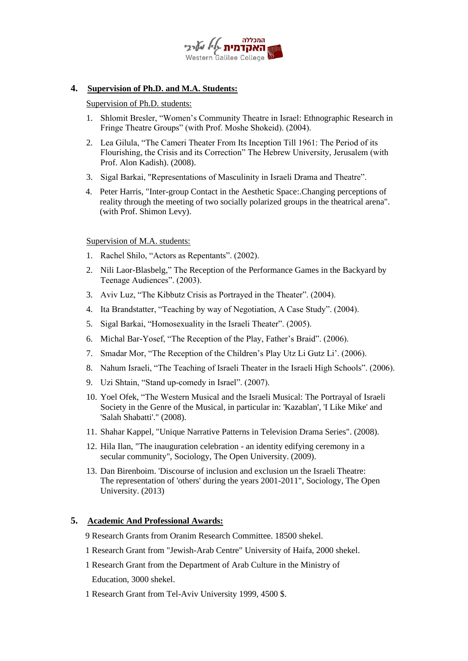

## **4. Supervision of Ph.D. and M.A. Students:**

Supervision of Ph.D. students:

- 1. Shlomit Bresler, "Women's Community Theatre in Israel: Ethnographic Research in Fringe Theatre Groups" (with Prof. Moshe Shokeid). (2004).
- 2. Lea Gilula, "The Cameri Theater From Its Inception Till 1961: The Period of its Flourishing, the Crisis and its Correction" The Hebrew University, Jerusalem (with Prof. Alon Kadish). (2008).
- 3. Sigal Barkai, "Representations of Masculinity in Israeli Drama and Theatre".
- 4. Peter Harris, "Inter-group Contact in the Aesthetic Space:.Changing perceptions of reality through the meeting of two socially polarized groups in the theatrical arena". (with Prof. Shimon Levy).

### Supervision of M.A. students:

- 1. Rachel Shilo, "Actors as Repentants". (2002).
- 2. Nili Laor-Blasbelg," The Reception of the Performance Games in the Backyard by Teenage Audiences". (2003).
- 3. Aviv Luz, "The Kibbutz Crisis as Portrayed in the Theater". (2004).
- 4. Ita Brandstatter, "Teaching by way of Negotiation, A Case Study". (2004).
- 5. Sigal Barkai, "Homosexuality in the Israeli Theater". (2005).
- 6. Michal Bar-Yosef, "The Reception of the Play, Father's Braid". (2006).
- 7. Smadar Mor, "The Reception of the Children's Play Utz Li Gutz Li'. (2006).
- 8. Nahum Israeli, "The Teaching of Israeli Theater in the Israeli High Schools". (2006).
- 9. Uzi Shtain, "Stand up-comedy in Israel". (2007).
- 10. Yoel Ofek, "The Western Musical and the Israeli Musical: The Portrayal of Israeli Society in the Genre of the Musical, in particular in: 'Kazablan', 'I Like Mike' and 'Salah Shabatti'." (2008).
- 11. Shahar Kappel, "Unique Narrative Patterns in Television Drama Series". (2008).
- 12. Hila Ilan, "The inauguration celebration an identity edifying ceremony in a secular community", Sociology, The Open University. (2009).
- 13. Dan Birenboim. 'Discourse of inclusion and exclusion un the Israeli Theatre: The representation of 'others' during the years 2001-2011", Sociology, The Open University. (2013)

## **5. Academic And Professional Awards:**

- 9 Research Grants from Oranim Research Committee. 18500 shekel.
- 1 Research Grant from "Jewish-Arab Centre" University of Haifa, 2000 shekel.
- 1 Research Grant from the Department of Arab Culture in the Ministry of Education, 3000 shekel.
- 1 Research Grant from Tel-Aviv University 1999, 4500 \$.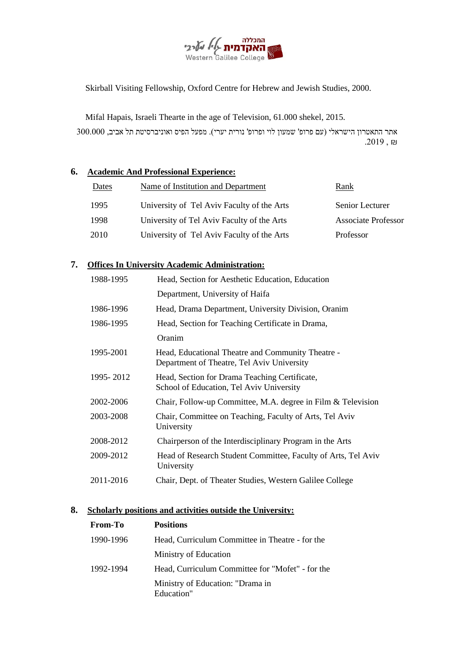

Skirball Visiting Fellowship, Oxford Centre for Hebrew and Jewish Studies, 2000.

Mifal Hapais, Israeli Thearte in the age of Television, 61.000 shekel, 2015.

אתר התאטרון הישראלי )עם פרופ' שמעון לוי ופרופ' נורית יערי(. מפעל הפיס ואוניברסיטת תל אביב, 300.000  $.2019, \mathrm{m}$ 

## **6. Academic And Professional Experience:**

| Dates | Name of Institution and Department         | Rank                       |
|-------|--------------------------------------------|----------------------------|
| 1995  | University of Tel Aviv Faculty of the Arts | Senior Lecturer            |
| 1998  | University of Tel Aviv Faculty of the Arts | <b>Associate Professor</b> |
| 2010  | University of Tel Aviv Faculty of the Arts | Professor                  |

# **7. Offices In University Academic Administration:**

| 1988-1995   | Head, Section for Aesthetic Education, Education                                                |
|-------------|-------------------------------------------------------------------------------------------------|
|             | Department, University of Haifa                                                                 |
| 1986-1996   | Head, Drama Department, University Division, Oranim                                             |
| 1986-1995   | Head, Section for Teaching Certificate in Drama,                                                |
|             | Oranim                                                                                          |
| 1995-2001   | Head, Educational Theatre and Community Theatre -<br>Department of Theatre, Tel Aviv University |
| 1995 - 2012 | Head, Section for Drama Teaching Certificate,<br>School of Education, Tel Aviv University       |
| 2002-2006   | Chair, Follow-up Committee, M.A. degree in Film & Television                                    |
| 2003-2008   | Chair, Committee on Teaching, Faculty of Arts, Tel Aviv<br>University                           |
| 2008-2012   | Chairperson of the Interdisciplinary Program in the Arts                                        |
| 2009-2012   | Head of Research Student Committee, Faculty of Arts, Tel Aviv<br>University                     |
| 2011-2016   | Chair, Dept. of Theater Studies, Western Galilee College                                        |

## **8. Scholarly positions and activities outside the University:**

| From-To   | <b>Positions</b>                                 |
|-----------|--------------------------------------------------|
| 1990-1996 | Head, Curriculum Committee in Theatre - for the  |
|           | Ministry of Education                            |
| 1992-1994 | Head, Curriculum Committee for "Mofet" - for the |
|           | Ministry of Education: "Drama in<br>Education"   |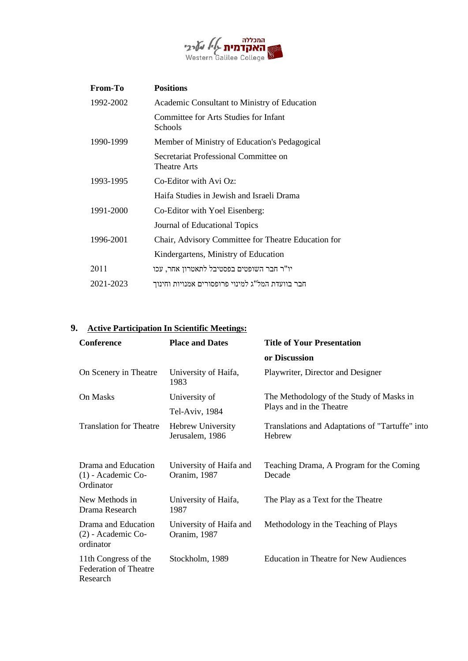

| <b>From-To</b> | <b>Positions</b>                                             |
|----------------|--------------------------------------------------------------|
| 1992-2002      | Academic Consultant to Ministry of Education                 |
|                | Committee for Arts Studies for Infant<br>Schools             |
| 1990-1999      | Member of Ministry of Education's Pedagogical                |
|                | Secretariat Professional Committee on<br><b>Theatre Arts</b> |
| 1993-1995      | Co-Editor with Avi Oz:                                       |
|                | Haifa Studies in Jewish and Israeli Drama                    |
| 1991-2000      | Co-Editor with Yoel Eisenberg:                               |
|                | Journal of Educational Topics                                |
| 1996-2001      | Chair, Advisory Committee for Theatre Education for          |
|                | Kindergartens, Ministry of Education                         |
| 2011           | יו"ר חבר השופטים בפסטיבל לתאטרון אחר, עכו                    |
| 2021-2023      | חבר בוועדת המל"ג למינוי פרופסורים אמנויות וחינוך             |
|                |                                                              |

# **9. Active Participation In Scientific Meetings:**

| <b>Conference</b>                                                | <b>Place and Dates</b>                  | <b>Title of Your Presentation</b>                         |
|------------------------------------------------------------------|-----------------------------------------|-----------------------------------------------------------|
|                                                                  |                                         | or Discussion                                             |
| On Scenery in Theatre                                            | University of Haifa,<br>1983            | Playwriter, Director and Designer                         |
| On Masks                                                         | University of                           | The Methodology of the Study of Masks in                  |
|                                                                  | Tel-Aviv, 1984                          | Plays and in the Theatre                                  |
| <b>Translation for Theatre</b>                                   | Hebrew University<br>Jerusalem, 1986    | Translations and Adaptations of "Tartuffe" into<br>Hebrew |
| Drama and Education<br>$(1)$ - Academic Co-<br>Ordinator         | University of Haifa and<br>Oranim, 1987 | Teaching Drama, A Program for the Coming<br>Decade        |
| New Methods in<br>Drama Research                                 | University of Haifa,<br>1987            | The Play as a Text for the Theatre                        |
| Drama and Education<br>(2) - Academic Co-<br>ordinator           | University of Haifa and<br>Oranim, 1987 | Methodology in the Teaching of Plays                      |
| 11th Congress of the<br><b>Federation of Theatre</b><br>Research | Stockholm, 1989                         | <b>Education in Theatre for New Audiences</b>             |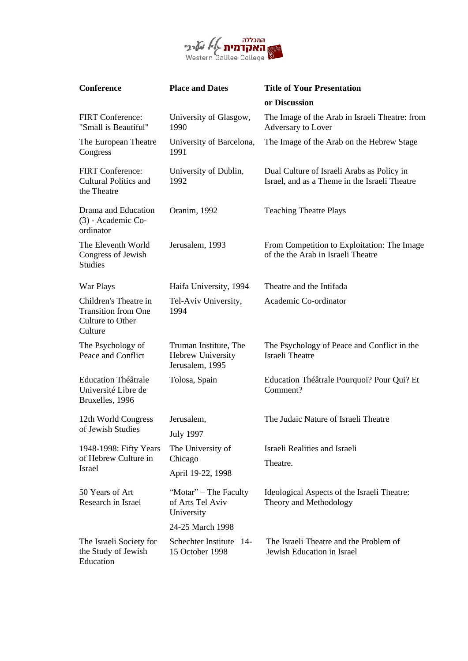

| Conference                                                                         | <b>Place and Dates</b>                                        | <b>Title of Your Presentation</b>                                                           |
|------------------------------------------------------------------------------------|---------------------------------------------------------------|---------------------------------------------------------------------------------------------|
|                                                                                    |                                                               | or Discussion                                                                               |
| FIRT Conference:<br>"Small is Beautiful"                                           | University of Glasgow,<br>1990                                | The Image of the Arab in Israeli Theatre: from<br>Adversary to Lover                        |
| The European Theatre<br>Congress                                                   | University of Barcelona,<br>1991                              | The Image of the Arab on the Hebrew Stage                                                   |
| <b>FIRT</b> Conference:<br><b>Cultural Politics and</b><br>the Theatre             | University of Dublin,<br>1992                                 | Dual Culture of Israeli Arabs as Policy in<br>Israel, and as a Theme in the Israeli Theatre |
| Drama and Education<br>(3) - Academic Co-<br>ordinator                             | Oranim, 1992                                                  | <b>Teaching Theatre Plays</b>                                                               |
| The Eleventh World<br>Congress of Jewish<br><b>Studies</b>                         | Jerusalem, 1993                                               | From Competition to Exploitation: The Image<br>of the the Arab in Israeli Theatre           |
| War Plays                                                                          | Haifa University, 1994                                        | Theatre and the Intifada                                                                    |
| Children's Theatre in<br><b>Transition from One</b><br>Culture to Other<br>Culture | Tel-Aviv University,<br>1994                                  | Academic Co-ordinator                                                                       |
| The Psychology of<br>Peace and Conflict                                            | Truman Institute, The<br>Hebrew University<br>Jerusalem, 1995 | The Psychology of Peace and Conflict in the<br><b>Israeli Theatre</b>                       |
| <b>Education Théâtrale</b><br>Université Libre de<br>Bruxelles, 1996               | Tolosa, Spain                                                 | Education Théâtrale Pourquoi? Pour Qui? Et<br>Comment?                                      |
| 12th World Congress<br>of Jewish Studies                                           | Jerusalem,<br><b>July 1997</b>                                | The Judaic Nature of Israeli Theatre                                                        |
| 1948-1998: Fifty Years                                                             | The University of                                             | Israeli Realities and Israeli                                                               |
| of Hebrew Culture in<br>Israel                                                     | Chicago<br>April 19-22, 1998                                  | Theatre.                                                                                    |
| 50 Years of Art<br>Research in Israel                                              | "Motar" – The Faculty<br>of Arts Tel Aviv<br>University       | Ideological Aspects of the Israeli Theatre:<br>Theory and Methodology                       |
|                                                                                    | 24-25 March 1998                                              |                                                                                             |
| The Israeli Society for<br>the Study of Jewish<br>Education                        | Schechter Institute 14-<br>15 October 1998                    | The Israeli Theatre and the Problem of<br>Jewish Education in Israel                        |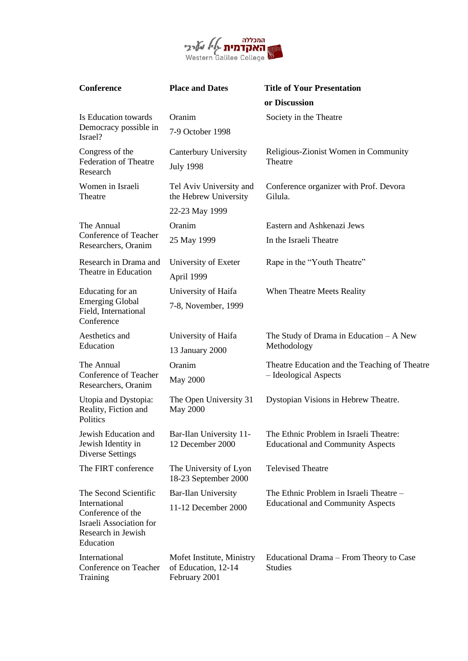

| Conference                                                                                              | <b>Place and Dates</b>                                            | <b>Title of Your Presentation</b><br>or Discussion                                 |
|---------------------------------------------------------------------------------------------------------|-------------------------------------------------------------------|------------------------------------------------------------------------------------|
| Is Education towards<br>Democracy possible in<br>Israel?                                                | Oranim                                                            | Society in the Theatre                                                             |
|                                                                                                         | 7-9 October 1998                                                  |                                                                                    |
| Congress of the<br><b>Federation of Theatre</b><br>Research                                             | Canterbury University<br><b>July 1998</b>                         | Religious-Zionist Women in Community<br>Theatre                                    |
| Women in Israeli<br>Theatre                                                                             | Tel Aviv University and<br>the Hebrew University                  | Conference organizer with Prof. Devora<br>Gilula.                                  |
|                                                                                                         | 22-23 May 1999                                                    |                                                                                    |
| The Annual                                                                                              | Oranim                                                            | Eastern and Ashkenazi Jews                                                         |
| Conference of Teacher<br>Researchers, Oranim                                                            | 25 May 1999                                                       | In the Israeli Theatre                                                             |
| Research in Drama and                                                                                   | University of Exeter                                              | Rape in the "Youth Theatre"                                                        |
| Theatre in Education                                                                                    | April 1999                                                        |                                                                                    |
| Educating for an                                                                                        | University of Haifa                                               | When Theatre Meets Reality                                                         |
| <b>Emerging Global</b><br>Field, International<br>Conference                                            | 7-8, November, 1999                                               |                                                                                    |
| Aesthetics and                                                                                          | University of Haifa                                               | The Study of Drama in Education $-A$ New                                           |
| Education                                                                                               | 13 January 2000                                                   | Methodology                                                                        |
| The Annual                                                                                              | Oranim                                                            | Theatre Education and the Teaching of Theatre                                      |
| Conference of Teacher<br>Researchers, Oranim                                                            | <b>May 2000</b>                                                   | - Ideological Aspects                                                              |
| Utopia and Dystopia:<br>Reality, Fiction and<br>Politics                                                | The Open University 31<br><b>May 2000</b>                         | Dystopian Visions in Hebrew Theatre.                                               |
| Jewish Education and<br>Jewish Identity in<br><b>Diverse Settings</b>                                   | Bar-Ilan University 11-<br>12 December 2000                       | The Ethnic Problem in Israeli Theatre:<br><b>Educational and Community Aspects</b> |
| The FIRT conference                                                                                     | The University of Lyon<br>18-23 September 2000                    | <b>Televised Theatre</b>                                                           |
| The Second Scientific                                                                                   | <b>Bar-Ilan University</b>                                        | The Ethnic Problem in Israeli Theatre -                                            |
| International<br>Conference of the<br><b>Israeli Association for</b><br>Research in Jewish<br>Education | 11-12 December 2000                                               | <b>Educational and Community Aspects</b>                                           |
| International<br>Conference on Teacher<br>Training                                                      | Mofet Institute, Ministry<br>of Education, 12-14<br>February 2001 | Educational Drama – From Theory to Case<br><b>Studies</b>                          |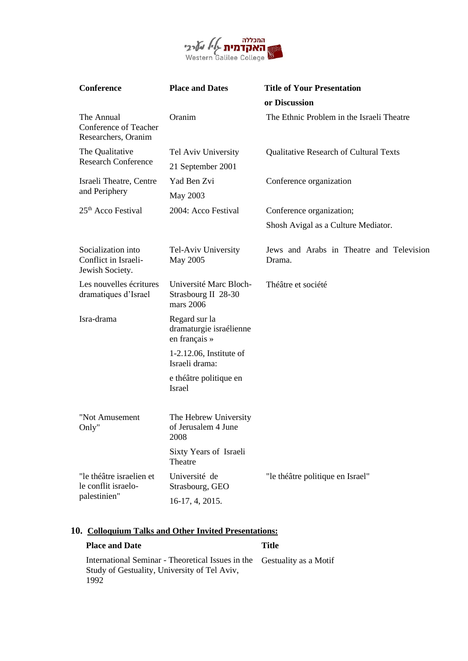

| <b>Conference</b>                                             | <b>Place and Dates</b>                                     | <b>Title of Your Presentation</b>                  |
|---------------------------------------------------------------|------------------------------------------------------------|----------------------------------------------------|
|                                                               |                                                            | or Discussion                                      |
| The Annual<br>Conference of Teacher<br>Researchers, Oranim    | Oranim                                                     | The Ethnic Problem in the Israeli Theatre          |
| The Qualitative                                               | Tel Aviv University                                        | Qualitative Research of Cultural Texts             |
| <b>Research Conference</b>                                    | 21 September 2001                                          |                                                    |
| Israeli Theatre, Centre                                       | Yad Ben Zvi                                                | Conference organization                            |
| and Periphery                                                 | May 2003                                                   |                                                    |
| 25 <sup>th</sup> Acco Festival                                | 2004: Acco Festival                                        | Conference organization;                           |
|                                                               |                                                            | Shosh Avigal as a Culture Mediator.                |
| Socialization into<br>Conflict in Israeli-<br>Jewish Society. | Tel-Aviv University<br>May 2005                            | Jews and Arabs in Theatre and Television<br>Drama. |
| Les nouvelles écritures<br>dramatiques d'Israel               | Université Marc Bloch-<br>Strasbourg II 28-30<br>mars 2006 | Théâtre et société                                 |
| Isra-drama                                                    | Regard sur la<br>dramaturgie israélienne<br>en français »  |                                                    |
|                                                               | $1-2.12.06$ , Institute of<br>Israeli drama:               |                                                    |
|                                                               | e théâtre politique en<br>Israel                           |                                                    |
| "Not Amusement<br>Only"                                       | The Hebrew University<br>of Jerusalem 4 June<br>2008       |                                                    |
|                                                               | Sixty Years of Israeli<br>Theatre                          |                                                    |
| "le théâtre israelien et<br>le conflit israelo-               | Université de<br>Strasbourg, GEO                           | "le théâtre politique en Israel"                   |
| palestinien"                                                  | 16-17, 4, 2015.                                            |                                                    |

# **10. Colloquium Talks and Other Invited Presentations:**

# **Place and Date Title**

International Seminar - Theoretical Issues in the Gestuality as a MotifStudy of Gestuality, University of Tel Aviv, 1992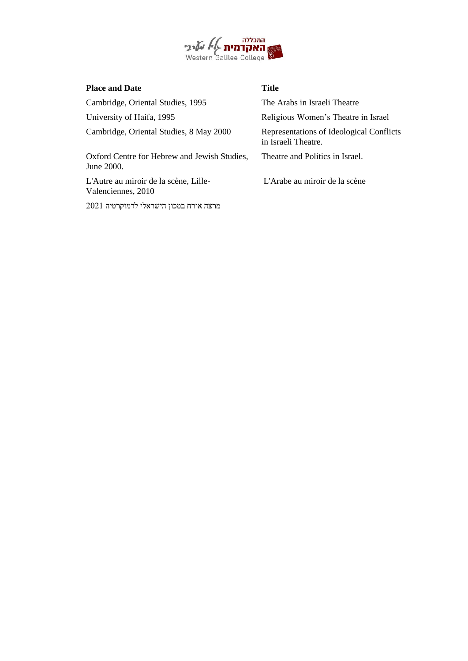

| <b>Place and Date</b>                                       | <b>Title</b>                                                    |
|-------------------------------------------------------------|-----------------------------------------------------------------|
| Cambridge, Oriental Studies, 1995                           | The Arabs in Israeli Theatre                                    |
| University of Haifa, 1995                                   | Religious Women's Theatre in Israel                             |
| Cambridge, Oriental Studies, 8 May 2000                     | Representations of Ideological Conflicts<br>in Israeli Theatre. |
| Oxford Centre for Hebrew and Jewish Studies,<br>June 2000.  | Theatre and Politics in Israel.                                 |
| L'Autre au miroir de la scène, Lille-<br>Valenciennes, 2010 | L'Arabe au miroir de la scène                                   |
| 2021 מרצה אורח במכון הישראלי לדמוקרטיה                      |                                                                 |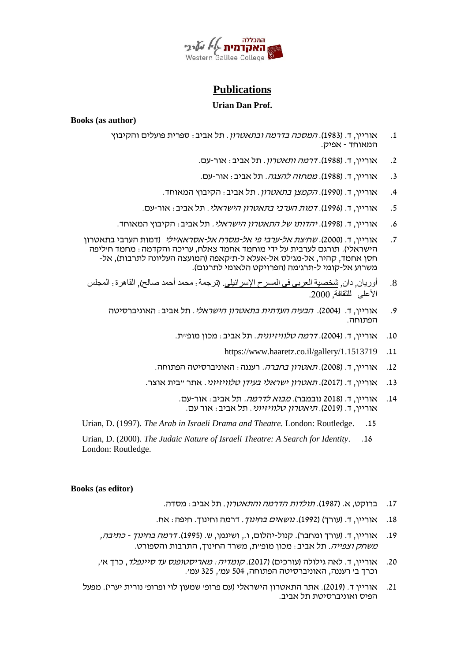

# **Publications**

### **Urian Dan Prof.**

**Books (as author)**

- 1. אוריין, ד. (1983). *המסכה בדרמה ובתאטרון*. תל אביב: ספרית פועלים והקיבוץ המאוחד - אפיק.
	- 2. אוריין, ד. (1988). *דרמה ותאטרון*. תל אביב: אור-עם.
	- .3 אוריין, ד. (1988). *ממחזה להצגה*. תל אביב: אור-עם.
	- 4. אוריין, ד. (1990). *הקמצן בתאטרון*. תל אביב: הקיבוץ המאוחד.
	- .5 אוריין, ד. )1996(. דמות הערבי בתאטרון הישראלי. תל אביב: אור-עם.
	- 6. אוריין, ד. (1998). *יהדותו של התאטרון הישראלי*. תל אביב: הקיבוץ המאוחד.
- .7 אוריין, ד. (2000). *שחיצת אל-ערבי פי אל-מסרח אל-אסראאיילי* (דמות הערבי בתאטרון הישראלי). תורגם לערבית על ידי מוחמד אחמד צאלח, עריכה והקדמה : מחמד חיליפה חסן אחמד, קהיר, אל-מג'לס אל-אעלא ל-ת'קאפה )המועצה העליונה לתרבות(, אל- משרוע אל- קומי ל-תרג'מה )הפרויקט הלאומי לתרגום(.
	- 8. أوريان, دان, <u>شخصية العربي في المسرح الإسرائيلي</u>. (ترجمة : محمد أحمد صـالح), القاهرة : المجلس الأعلى للثقافة, 2000.
		- .9 אוריין, ד. (2004). *הבעיה העדתית בתאטרון הישראלי*. תל אביב: האוניברסיטה . הפתוחה.
			- 10. אוריין, ד. (2004). *דרמה טלוויזיונית*. תל אביב: מכון מופ"ת.
				- https://www.haaretz.co.il/gallery/1.1513719 .11
			- 12. אוריין, ד. (2008). *תאטרון בחברה.* רעננה: האוניברסיטה הפתוחה.
			- 13. אוריין, ד. (2017). *תאטרון ישראלי בעידן טלוויזיוני.* אתר "בית אוצר.
				- 14. אוריין, ד. (2018 נובמבר). *מבוא לדרמה.* תל אביב: אור-עם. אוריין, ד. (2019). *תיאטרון טלוויזיוני*. תל אביב: אור עם.
- Urian, D. (1997). *The Arab in Israeli Drama and Theatre.* London: Routledge. .15
- Urian, D. (2000). *The Judaic Nature of Israeli Theatre: A Search for Identity*. .16 London: Routledge.

### **Books (as editor)**

- 17. ברוקט, א. (1987). *תולדות הדרמה והתאטרון*. תל אביב: מסדה.
- 18. אוריין, ד. (עורד) (1992). *נושאים בחינוך*. דרמה וחינוך. חיפה: אח.
- 19. אוריין, ד. (עורך ומחבר). קנול-יהלום, ו., ושינמן, ש. (1995). *דרמה בחינוך כתיבה, משחק וצפייה*. תל אביב: מכון מופ״ת, משרד החינוך, התרבות והספורט.
- .20 אוריין, ד. לאה גילולה )עורכים( )2017(. קומדיה: מאריסטופנס עד סיינפלד, כרך א', וכרך ב' רעננה, האוניברסיטה הפתוחה, 504 עמ', 325 עמ'.
- .21 אוריין ד. )2019(. אתר התאטרון הישראלי )עם פרופ' שמעון לוי ופרופ' נורית יערי(. מפעל הפיס ואוניברסיטת תל אביב.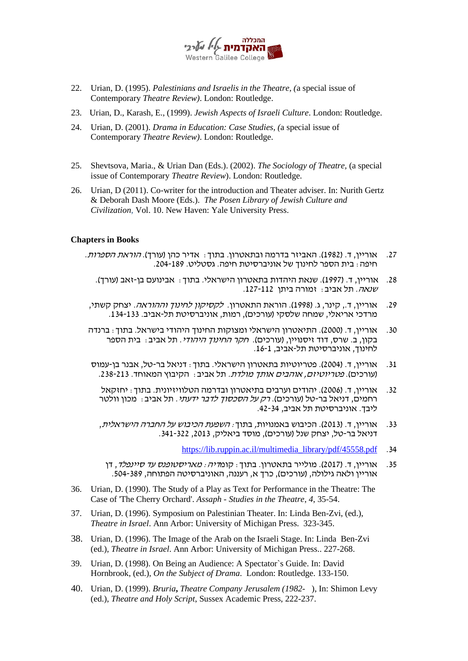

- 22. Urian, D. (1995). *Palestinians and Israelis in the Theatre, (*a special issue of Contemporary *Theatre Review)*. London: Routledge.
- 23. Urian, D., Karash, E., (1999). *Jewish Aspects of Israeli Culture*. London: Routledge.
- 24. Urian, D. (2001). *Drama in Education: Case Studies, (*a special issue of Contemporary *Theatre Review)*. London: Routledge.
- 25. Shevtsova, Maria., & Urian Dan (Eds.). (2002). *The Sociology of Theatre,* (a special issue of Contemporary *Theatre Review*). London: Routledge.
- 26. Urian, D (2011). Co-writer for the introduction and Theater adviser. In: Nurith Gertz & Deborah Dash Moore (Eds.). *The Posen Library of Jewish Culture and Civilization*, Vol. 10. New Haven: Yale University Press.

### **Chapters in Books**

- .27 אוריין, ד. )1982(. האביזר בדרמה ובתאטרון. בתוך: אדיר כהן )עורך(. הוראת הספרות. חיפה: בית הספר לחינוך של אוניברסיטת חיפה. גסטליט. .204-189
	- .28 אוריין, ד. )1997(. שנאת היהדות בתאטרון הישראלי. בתוך: אבינועם בן-זאב )עורך(. שנאה. תל אביב: זמורה ביתן .127-112
- .29 אוריין, ד., קינר, ג. (1998). הוראת התאטרון. *לקסיקון לחינוך וההוראה.* יצחק קשתי, מרדכי אריאלי, שמחה שלסקי )עורכים(, רמות, אוניברסיטת תל-אביב. .134-133
- .30 אוריין, ד. )2000(. התיאטרון הישראלי ומצוקות החינוך היהודי בישראל. בתוך: ברנדה בקון, ב. שרס, דוד זיסנויין, (עורכים). ח*קר החינוך היהודי*. תל אביב: בית הספר לחינוך, אוניברסיטת תל-אביב, 16-1.
- 31. אוריין, ד. (2004). פטריוטיות בתאטרון הישראלי. בתוך: דניאל בר-טל, אבנר בן-עמוס (עורכים). *פטריוטיזם, אוהבים אותך מולדת.* תל אביב: הקיבוץ המאוחד. 238-213.
	- 32. אוריין, ד. (2006). יהודים וערבים בתיאטרון ובדרמה הטלוויזיונית. בתוך: יחזקאל רחמים, דניאל בר-טל (עורכים). *רק על הסכסוך לדבר ידעתי*. תל אביב: מכון וולטר ליבך. אוניברסיטת תל אביב, .42-34
	- 33. אוריין, ד. (2013). הכיבוש באמנויות, בתוך: *השפעת הכיבוש על החברה הישראלית*, דניאל בר -טל, יצחק שנל )עורכים(, מוסד ביאליק, ,2013 .341-322
		- [https://lib.ruppin.ac.il/multimedia\\_library/pdf/45558.pdf](https://lib.ruppin.ac.il/multimedia_library/pdf/45558.pdf) .34
	- 35. אוריין, ד. (2017). מולייר בתאטרון. בתוד : קומ*דיה : מאריסטופנס עד סיינפלד*, דן אוריין ולאה גילולה, (עורכים), כרך א, רעננה, האוניברסיטה הפתוחה, 389-504.
- 36. Urian, D. (1990). The Study of a Play as Text for Performance in the Theatre: The Case of 'The Cherry Orchard'. *Assaph - Studies in the Theatre*, *4*, 35-54.
- 37. Urian, D. (1996). Symposium on Palestinian Theater. In: Linda Ben-Zvi, (ed.), *Theatre in Israel*. Ann Arbor: University of Michigan Press. 323-345.
- 38. Urian, D. (1996). The Image of the Arab on the Israeli Stage. In: Linda Ben-Zvi (ed.), *Theatre in Israel*. Ann Arbor: University of Michigan Press.. 227-268.
- 39. Urian, D. (1998). On Being an Audience: A Spectator`s Guide. In: David Hornbrook, (ed.), *On the Subject of Drama*. London: Routledge. 133-150.
- 40. Urian, D. (1999). *Bruria***,** *Theatre Company Jerusalem (1982-* ), In: Shimon Levy (ed.), *Theatre and Holy Script*, Sussex Academic Press, 222-237.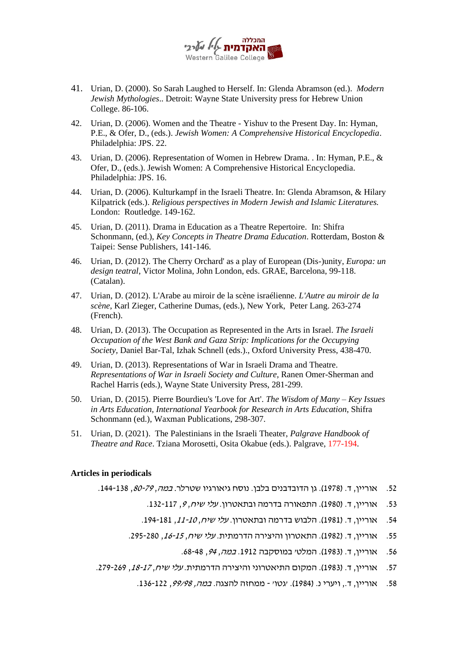

- 41. Urian, D. (2000). So Sarah Laughed to Herself. In: Glenda Abramson (ed.). *Modern Jewish Mythologies*.. Detroit: Wayne State University press for Hebrew Union College. 86-106.
- 42. Urian, D. (2006). Women and the Theatre Yishuv to the Present Day. In: Hyman, P.E., & Ofer, D., (eds.). *Jewish Women: A Comprehensive Historical Encyclopedia*. Philadelphia: JPS. 22.
- 43. Urian, D. (2006). Representation of Women in Hebrew Drama. . In: Hyman, P.E., & Ofer, D., (eds.). Jewish Women: A Comprehensive Historical Encyclopedia. Philadelphia: JPS. 16.
- 44. Urian, D. (2006). Kulturkampf in the Israeli Theatre. In: Glenda Abramson, & Hilary Kilpatrick (eds.). *Religious perspectives in Modern Jewish and Islamic Literatures.*  London: Routledge. 149-162.
- 45. Urian, D. (2011). Drama in Education as a Theatre Repertoire. In: Shifra Schonmann, (ed.), *Key Concepts in Theatre Drama Education*. Rotterdam, Boston & Taipei: Sense Publishers, 141-146.
- 46. Urian, D. (2012). The Cherry Orchard' as a play of European (Dis-)unity, *Europa: un design teatral*, Victor Molina, John London, eds. GRAE, Barcelona, 99-118. (Catalan).
- 47. Urian, D. (2012). L'Arabe au miroir de la scène israélienne. *L'Autre au miroir de la scène*, Karl Zieger, Catherine Dumas, (eds.), New York, Peter Lang. 263-274 (French).
- 48. Urian, D. (2013). The Occupation as Represented in the Arts in Israel. *The Israeli Occupation of the West Bank and Gaza Strip: Implications for the Occupying Society,* Daniel Bar-Tal, Izhak Schnell (eds.)., Oxford University Press, 438-470.
- 49. Urian, D. (2013). Representations of War in Israeli Drama and Theatre. *Representations of War in Israeli Society and Culture,* Ranen Omer-Sherman and Rachel Harris (eds.), Wayne State University Press, 281-299.
- 50. Urian, D. (2015). Pierre Bourdieu's 'Love for Art'. *The Wisdom of Many – Key Issues in Arts Education, International Yearbook for Research in Arts Education*, Shifra Schonmann (ed.), Waxman Publications, 298-307.
- 51. Urian, D. (2021). The Palestinians in the Israeli Theater, *Palgrave Handbook of Theatre and Race*. Tziana Morosetti, Osita Okabue (eds.). Palgrave, 177-194.

### **Articles in periodicals**

- 52. אוריין, ד. (1978). גן הדובדבנים בלבן. נוסח גיאורגיו שטרלר. *במה, 80-79,* 144-138.
	- .53 אוריין, ד. (1980). התפאורה בדרמה ובתאטרון. *עלי שיח, 9*, 117-132.
	- 54. אוריין, ד. (1981). הלבוש בדרמה ובתאטרון. *עלי שיח, 10-11*, 181-194.
	- .55 אוריין, ד. (1982). התאטרון והיצירה הדרמתית. *עלי שיח, 15-15,* 295-280.
		- .56 אוריין, ד. (1983). המלטי במוסקבה 1912. *במה, 94*, 48-68.
- 57. אוריין, ד. (1983). המקום התיאטרוני והיצירה הדרמתית. *עלי שיח, 17-17,* 269-279.
	- .58 אוריין, ד., ויערי נ. (1984). *י*גטו׳ ממחזה להצגה. *במה, 99/98*, 122-136.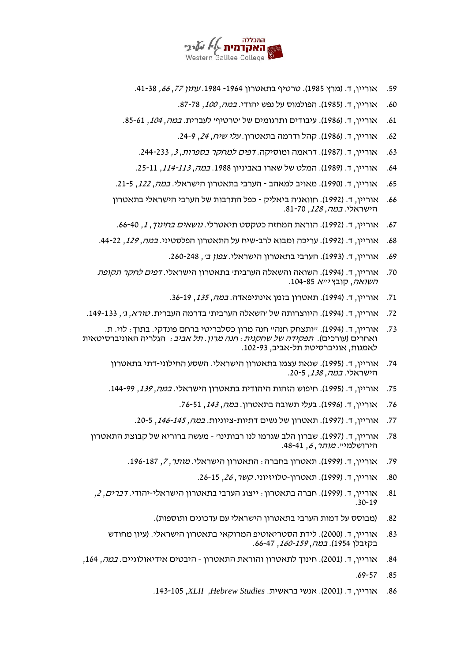

- 59. אוריין, ד. (מרץ 1985). טרטיף בתאטרון 1964- 1984. *עתון 77, 66,* 41-38.
	- .60 אוריין, ד. (1985). הפולמוס על נפש יהודי. *במה, 100*, 78-87.
- .61 אוריין, ד. (1986). עיבודים ותרגומים של יטרטיףי לעברית. *במה, 104*, 85-61
	- .62 אוריין, ד. (1986). קהל ודרמה בתאטרון. *עלי שיח, 24*, 24-9.
	- 63. אוריין, ד. (1987). דראמה ומוסיקה. *דפים למחקר בספרות*, 3, 244-233.
	- 64. אוריין, ד. (1989). המלט של שארו באביניון 1988. *במה, 113-113,* 115-25.
- 65. אוריין, ד. (1990). מאויב למאהב הערבי בתאטרון הישראלי. *במה, 122*, 5-21.
- 66. אוריין, ד. (1992). חוואגיה ביאליק כפל התרבות של הערבי הישראלי בתאטרון הישראלי. *במה, 128*, 70-81.
- 67. אוריין, ד. (1992). הוראת המחזה כטקסט תיאטרלי. *נושאים בחינוך, 1*, 40-66.
- 68. אוריין, ד. (1992). עריכה ומבוא לרב-שיח על התאטרון הפלסטיני. *במה, 129*, 22-44.
	- 69. אוריין, ד. (1993). הערבי בתאטרון הישראלי. *צפון ב',* 248-260.
- 70. אוריין, ד. (1994). השואה והשאלה הערבית׳ בתאטרון הישראלי. *דפים לחקר תקופת* השואה, קובץ י"א .104-85
	- 71. אוריין, ד. (1994). תאטרון בזמן אינתיפאדה. *במה, 135*, 36-19.
- 72. אוריין, ד. (1994). היווצרותה של 'השאלה הערבית' בדרמה העברית. *טורא, ג',* 133-149.
- .73 אוריין, ד. )1994(. "ותצחק חנה" חנה מרון כסלבריטי ברחם פונדקי. בתוך: לוי. ת. ואחרים (עורכים). *תפקידה של שחקנית: חנה מרון. תל אביב:* הגלריה האוניברסיטאית לאמנות, אוניברסיטת תל- אביב, .102-93
	- .74 אוריין, ד. )1995(. שנאת עצמו בתאטרון הישראלי. השסע החילוני-דתי בתאטרון הישראלי. *במה, 138*. 5-20.
	- 75. אוריין, ד. (1995). חיפוש הזהות היהודית בתאטרון הישראלי. *במה, 139,* 144-99.
		- 76. אוריין, ד. (1996). בעלי תשובה בתאטרון. *במה, 143*. 76-51.
		- 77. אוריין, ד. (1997). תאטרון של נשים דתיות-ציוניות. *במה, 145-145*, 20-5.
	- .78 אוריין, ד. )1997(. שברון הלב שגרמו לנו רבותינו' מעשה ברוריא של קבוצת התאטרון הירושלמי". מותר, 6, 48-41.
		- .79 אוריין, ד. )1999(. תאטרון בחברה: התאטרון הישראלי. מותר, ,7 .196-187
			- .80 אוריין, ד. (1999). תאטרון-טלויזיוני. *קשר, 26,* 25-15
	- .81 אוריין, ד. )1999(. חברה בתאטרון: ייצוג הערבי בתאטרון הישראלי -יהודי. דברים, ,<sup>2</sup> .30-19
		- 82. (מבוסס על דמות הערבי בתאטרון הישראלי עם עדכונים ותוספות).
		- 83. אוריין, ד. (2000). לידת הסטריאוטיפ המרוקאי בתאטרון הישראלי. (עיון מחודש בקזבלן 1954). *במה, 159-160*, 47-66.
- 84. אוריין, ד. (2001). חינוך לתאטרון והוראת התאטרון היבטים אידיאולוגיים. *במה*, 164,
	- .69-57 .85
	- .86 אוריין, ד. )2001(. אנשי בראשית. *Studies Hebrew*, *XLII*, .143-105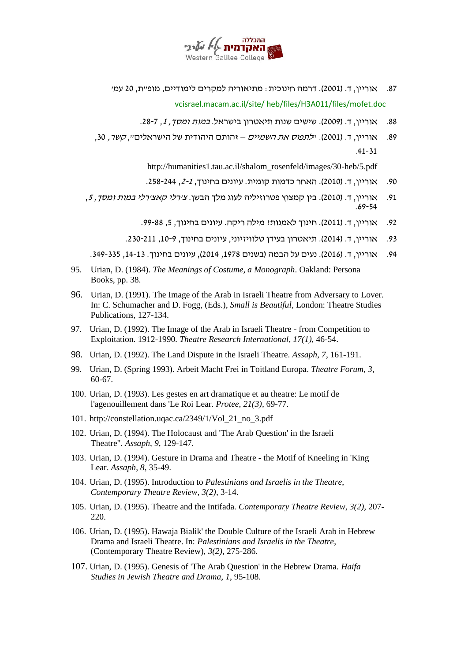

- 87. אוריין, ד. (2001). דרמה חינוכית: מתיאוריה למקרים לימודיים, מופ״ת, 20 עמ׳ vcisrael.macam.ac.il/site/ heb/files/H3A011/files/mofet.doc
	- 88. אוריין, ד. (2009). שישים שנות תיאטרון בישראל. *במות ומסך, 1*, 7-28.
- 89. אוריין, ד. (2001). *ילתפוס את השמיים* זהותם היהודית של הישראלים", *קשר*, 30, .41-31

http://humanities1.tau.ac.il/shalom\_rosenfeld/images/30-heb/5.pdf

- .90 אוריין, ד. (2010). האחר כדמות קומית. עיונים בחינוך, 2-1, 258-244.
- .91 אוריין, ד. (2010). בין קמצוץ פטרוזיליה לעוג מלך הבשן. *צ׳רלי קאצירלי במות ומסך, 5*, .69-54
	- .92 אוריין, ד. (2011). חינוד לאמנות: מילה ריקה. עיונים בחינוד, 5, 88-99.
	- .93 אוריין, ד. )2014(. תיאטרון בעידן טלוויזיוני, עיונים בחינוך, ,10-9 .230-211

.94 אוריין, ד. )2016(. נעים על הבמה )בשנים ,1978 2014(, עיונים בחינוך. ,14-13 .349-335

- 95. Urian, D. (1984). *The Meanings of Costume, a Monograph*. Oakland: Persona Books, pp. 38.
- 96. Urian, D. (1991). The Image of the Arab in Israeli Theatre from Adversary to Lover. In: C. Schumacher and D. Fogg, (Eds.), *Small is Beautiful*, London: Theatre Studies Publications, 127-134.
- 97. Urian, D. (1992). The Image of the Arab in Israeli Theatre from Competition to Exploitation. 1912-1990*. Theatre Research International*, *17(1),* 46-54.
- 98. Urian, D. (1992). The Land Dispute in the Israeli Theatre. *Assaph*, *7*, 161-191.
- 99. Urian, D. (Spring 1993). Arbeit Macht Frei in Toitland Europa. *Theatre Forum*, *3*, 60-67.
- 100. Urian, D. (1993). Les gestes en art dramatique et au theatre: Le motif de l'agenouillement dans 'Le Roi Lear. *Protee*, *21(3),* 69-77.
- 101. http://constellation.uqac.ca/2349/1/Vol\_21\_no\_3.pdf
- 102. Urian, D. (1994). The Holocaust and 'The Arab Question' in the Israeli Theatre". *Assaph*, *9*, 129-147.
- 103. Urian, D. (1994). Gesture in Drama and Theatre the Motif of Kneeling in 'King Lear. *Assaph*, *8*, 35-49.
- 104. Urian, D. (1995). Introduction to *Palestinians and Israelis in the Theatre*, *Contemporary Theatre Review*, *3(2),* 3-14.
- 105. Urian, D. (1995). Theatre and the Intifada*. Contemporary Theatre Review*, *3(2),* 207- 220.
- 106. Urian, D. (1995). Hawaja Bialik' the Double Culture of the Israeli Arab in Hebrew Drama and Israeli Theatre. In: *Palestinians and Israelis in the Theatre*, (Contemporary Theatre Review), *3(2),* 275-286.
- 107. Urian, D. (1995). Genesis of 'The Arab Question' in the Hebrew Drama. *Haifa Studies in Jewish Theatre and Drama*, *1*, 95-108.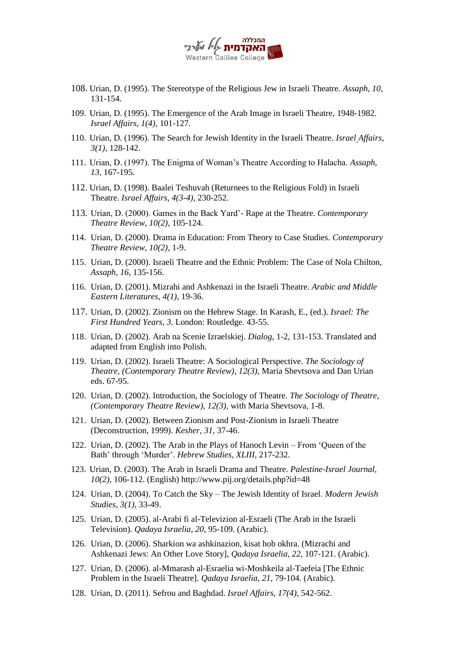

- 108. Urian, D. (1995). The Stereotype of the Religious Jew in Israeli Theatre. *Assaph*, *10*, 131-154.
- 109. Urian, D. (1995). The Emergence of the Arab Image in Israeli Theatre, 1948-1982. *Israel Affairs*, *1(4),* 101-127.
- 110. Urian, D. (1996). The Search for Jewish Identity in the Israeli Theatre. *Israel Affairs*, *3(1),* 128-142.
- 111. Urian, D. (1997). The Enigma of Woman's Theatre According to Halacha. *Assaph, 13*, 167-195.
- 112. Urian, D. (1998). Baalei Teshuvah (Returnees to the Religious Fold) in Israeli Theatre. *Israel Affairs, 4(3-4),* 230-252.
- 113. Urian, D. (2000). Games in the Back Yard'- Rape at the Theatre. *Contemporary Theatre Review*, *10(2),* 105-124.
- 114. Urian, D. (2000). Drama in Education: From Theory to Case Studies. *Contemporary Theatre Review*, *10(2),* 1-9.
- 115. Urian, D. (2000). Israeli Theatre and the Ethnic Problem: The Case of Nola Chilton, *Assaph*, *16*, 135-156.
- 116. Urian, D. (2001). Mizrahi and Ashkenazi in the Israeli Theatre. *Arabic and Middle Eastern Literatures*, *4(1),* 19-36.
- 117. Urian, D. (2002). Zionism on the Hebrew Stage. In Karash, E., (ed.). *Israel: The First Hundred Years*, *3*. London: Routledge. 43-55.
- 118. Urian, D. (2002). Arab na Scenie Izraelskiej. *Dialog*, 1-2, 131-153. Translated and adapted from English into Polish.
- 119. Urian, D. (2002). Israeli Theatre: A Sociological Perspective. *The Sociology of Theatre, (Contemporary Theatre Review)*, *12(3),* Maria Shevtsova and Dan Urian eds. 67-95.
- 120. Urian, D. (2002). Introduction, the Sociology of Theatre. *The Sociology of Theatre*, *(Contemporary Theatre Review), 12(3),* with Maria Shevtsova, 1-8.
- 121. Urian, D. (2002). Between Zionism and Post-Zionism in Israeli Theatre (Deconstruction, 1999). *Kesher*, *31*, 37-46.
- 122. Urian, D. (2002). The Arab in the Plays of Hanoch Levin From 'Queen of the Bath' through 'Murder'. *Hebrew Studies, XLIII*, 217-232.
- 123. Urian, D. (2003). The Arab in Israeli Drama and Theatre. *Palestine-Israel Journal*, *10(2),* 106-112. (English) http://www.pij.org/details.php?id=48
- 124. Urian, D. (2004). To Catch the Sky The Jewish Identity of Israel. *Modern Jewish Studies*, *3(1),* 33-49.
- 125. Urian, D. (2005). al-Arabi fi al-Televizion al-Esraeli (The Arab in the Israeli Television). *Qadaya Israelia, 20*, 95-109. (Arabic).
- 126. Urian, D. (2006). Sharkion wa ashkinazion, kisat hob okhra. (Mizrachi and Ashkenazi Jews: An Other Love Story], *Qadaya Israelia, 22*, 107-121. (Arabic).
- 127. Urian, D. (2006). al-Mmarash al-Esraelia wi-Moshkeila al-Taefeia [The Ethnic Problem in the Israeli Theatre]. *Qadaya Israelia, 21*, 79-104. (Arabic).
- 128. Urian, D. (2011). Sefrou and Baghdad. *Israel Affairs, 17(4),* 542-562.